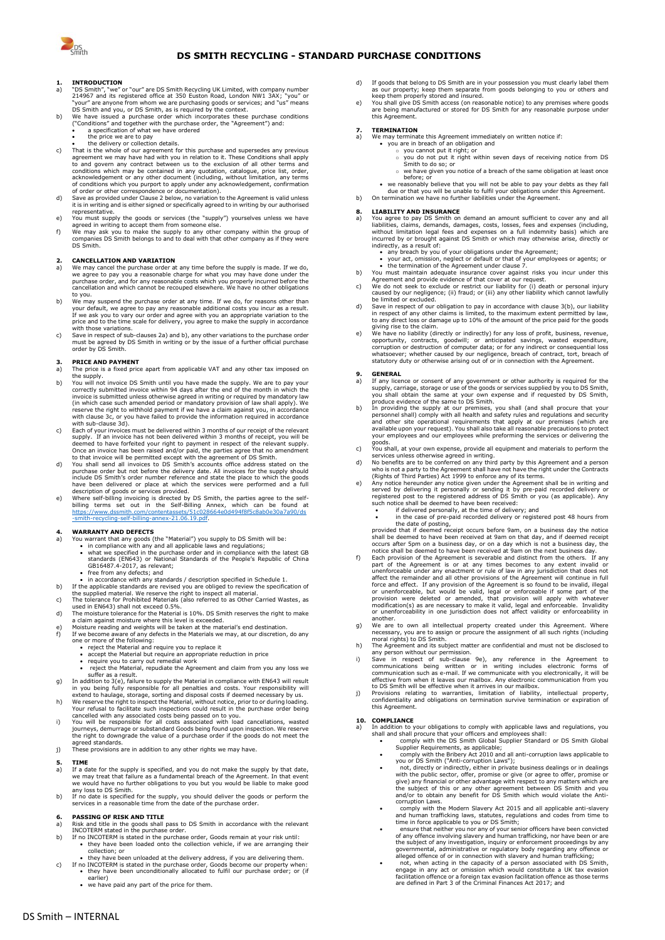

### **DS SMITH RECYCLING - STANDARD PURCHASE CONDITIONS**

## **1. INTRODUCTION**<br>a) "DS Smith". "we"

- a) "DS Smith", "we" or "our" are DS Smith Recycling UK Limited, with company number<br>214967 and its registered office at 350 Euston Road, London NW1 3AX; "you" or<br>"your" are anyone from whom we are purchasing goods or servi
- ("Conditions" and together with the purchase order, the "Agreement") and: a specification of what we have ordered
	-
	-
- the price we are to pay<br>• the delivery or collection details.<br>• That is the whole of our agreement for this purchase and supersedes any previous<br>• agreement we may have had with you in relation to it. These Conditions sh to and govern any contract between us to the exclusion of all other terms and<br>conditions which may be contained in any quotation, catalogue, price list, order,<br>acknowledgement or any other document (including, without limi
- representative.<br>representative
- e) You must supply the goods or services (the "supply") yourselves unless we have<br>agreed in writing to accept them from someone else.<br>f) We may ask you to make the supply to any other company within the group of<br>companies
- DS Smith.

### **2. CANCELLATION AND VARIATION**<br>a) We may cancel the numbase order a

- <span id="page-0-0"></span>a) We may cancel the purchase order at any time before the supply is made. If we do, we agree to pay you a reasonable charge for what you may have done under the purchase order, and for any reasonable costs which you prope to you.
- <span id="page-0-1"></span>b) We may suspend the purchase order at any time. If we do, for reasons other than your default, we agree to pay any reasonable additional costs you incur as a result. If we ask you to vary our order and agree with you an appropriate variation to the price and to the time scale for delivery, you agree to
- 

- **3. PRICE AND PAYMENT**<br>**a**) The price is a fixed price a) The price is a fixed price apart from applicable VAT and any other tax imposed on the supply.
- b) You will not invoice DS Smith until you have made the supply. We are to pay your correctly submitted invoice within 94 days after the end of the month in which the invoice is submitted unless otherwise agreed in writing or required by mandatory law<br>(in which case such amended period or mandatory provision of law shall apply). We<br>reserve the right to withhold payment if we have a clai with sub-clause 3d).
- c) Each of your invoices must be delivered within 3 months of our receipt of the relevant supply. If an invoice has not been delivered within 3 months of receipt, you will be<br>deemed to have forfeited your right to payment in respect of the relevant supply.<br>Once an invoice has been raised and/or paid, the partie
- 
- include DS Smith's order number reference and state the place to which the goods<br>have been delivered or place at which the services were performed and a full<br>description of goods or services provided.<br>e) Where self-billing  $\frac{1}{2}$  ing-annex-21.06.19.pdf.

# **4. WARRANTY AND DEFECTS** a) You warrant that any goods (

- a) You warrant that any goods (the "Material") you supply to DS Smith will be: in compliance with any and all applicable laws and regulations;
	-
- what we specified in the purchase order and in compliance with the latest GB<br>standards (EN643) or National Standards of the People's Republic of China<br>GB16487.4-2017, as relevant;<br>• free from any defects; and<br>• in accord
	-
- 
- c) The tolerance for Prohibited Materials (also referred to as Other Carried Wastes, as<br>used in FN643) shall not exceed 0.5%
- 
- diate in EN643) shall not exceed 0.5%.<br>
The moisture tolerance for the Material is 10%. DS Smith reserves the right to make<br>
a claim against moisture where this level is exceeded.<br>
e) Moisture reading and weights will be t
	- -
		-
		- suffer as a result.
- In addition to 3(e.) failure to supply the Material in compliance with EN643 will result<br>in you being fully responsible for all penalties and costs. Your responsibility will<br>extend to haulage, storage, sorting and disposal
- 
- cancelled with any associated costs being passed on to you. i) You will be responsible for all costs associated with load cancellations, wasted journeys, demurrage or substandard Goods being found upon inspection. We reserve the right to downgrade the value of a purchase order if the goods do not meet the ed standards
- j) These provisions are in addition to any other rights we may have.

- **5. TIME** a) If a date for the supply is specified, and you do not make the supply by that date, we may treat that failure as a fundamental breach of the Agreement. In that event we would have no further obligations to you but you w
- 

- **6. PASSING OF RISK AND TITLE**<br>a) Risk and title in the goods shall pass to DS Smith in accordance with the relevant<br>INCOTERM stated in the purchase order.<br>b) If no INCOTERM is stated in the purchase order, Goods remain at
	- they have been loaded onto the collection vehicle, if we are arranging their collection; or
- they have been unloaded at the delivery address, if you are delivering them.<br>C) If no INCOTERM is stated in the purchase order, Goods become our property when:<br>• they have been unconditionally allocated to fulfil our pu
	- earlier) • we have paid any part of the price for them.
- d) If goods that belong to DS Smith are in your possession you must clearly label them as our property; keep them separate from goods belonging to you or others and
- keep them properly stored and insured.<br>e) You shall give DS Smith access (on reasonable notice) to any premises where goods<br>are being manufactured or stored for DS Smith for any reasonable purpose under this Agreement.

## **7. TERMINATION**

- 
- 
- a) We may terminate this Agreement immediately on written notice if:<br>• you are in breach of an obligation and<br>
o you cannot put it right: within seven days of receiving notice from DS<br>
o you do not put it right within seve Smith to do so; or
	-
- % have given you notice of a breach of the same obligation at least once<br>before; or<br>• we reasonably believe that you will not be able to pay your debts as they fall<br>• due or that you will be unable to fulfil your obligatio
	-

### **8. LIABILITY AND INSURANCE**<br>a) You agree to pay DS Smith on

- a) You agree to pay DS Smith on demand an amount sufficient to cover any and all liabilities, claims, demands, damages, costs, losses, fees and expenses (including, without limitation legal fees and expenses on a full inde
	-
- 
- indirectly, as a result of:<br>
 any breach by you of your obligations under the Agreement;<br>
 your act, omission, neglect or default or that of your employees or agents; or<br>
 the termination of the Agreement under clause 7
- d) Save in respect of our obligation to pay in accordance with clause 3(b), our liability<br>in respect of any other claims is limited, to the maximum extent permitted by law,<br>to any direct loss or damage up to 10% of the amo
- giving rise to the claim.<br>
e) We have to liability (directly or indirectly) for any loss of profit, business, revenue,<br>
opportunity, contracts, goodwill; or anticipated savings, wasted expenditure,<br>
corruption or destructi

- 
- 9. GENERAL Intervalse and of the supply, carriage, or the supply, carriage, storage or use of the goods or services supplied by you to DS Smith, you shall obtain the same at your or wexpense and if requested by DS Smith, p
- goods. c) You shall, at your own expense, provide all equipment and materials to perform the
- services unless otherwise agreed in writing.<br>A) No benefits are to be conferred on any third party by this Agreement and a person<br>who is not a party to the Agreement shall have not have the right under the Contracts<br>(Right
- <span id="page-0-2"></span>served by delivering it personally or sending it by pre-paid recorded delivery or<br>registered post to the registered address of DS Smith or you (as applicable). Any<br>such notice shall be deemed to have been received:<br>if deli
	-

- shall be deemed to have been received at 9 ann on that day, and if deemed receipt<br>occurs after 5pm on a business day, or on a day which is not a business day, the<br>occurs after 5pm on a business day, or on a day which is no
- 
- 
- g) We are to own all intellectual property created under this Agreement. Where<br>necessary, you are to assign or procure the assignment of all such rights (including<br>moral rights) to DS Smith.<br>The Agreement and its subject m
- 

### **10. COMPLIANCE**

- a) In addition to your obligations to comply with applicable laws and regulations, you shall and shall procure that your officers and employees shall:
	- -
	- comply with the DS Smith Global Supplier Standard or DS Smith Global<br>Supplier Requirements, as applicable;<br>• comply with the Bribery Act 2010 and all anti-corruption laws applicable to<br>• you or DS Smith ("Anti-corruption
	-
	- the subject of this or any other agreement between DS Smith and you<br>and/or to obtain any benefit for DS Smith which would volidate the Anti-<br>corruption Laws.<br>• comply with the Modern Slavery Act 2015 and all applicable ant
	- engage in any act or omission which would constitute a UK tax evasion<br>facilitation offence or a foreign tax evasion facilitation offence as those terms<br>are defined in Part 3 of the Criminal Finances Act 2017; and